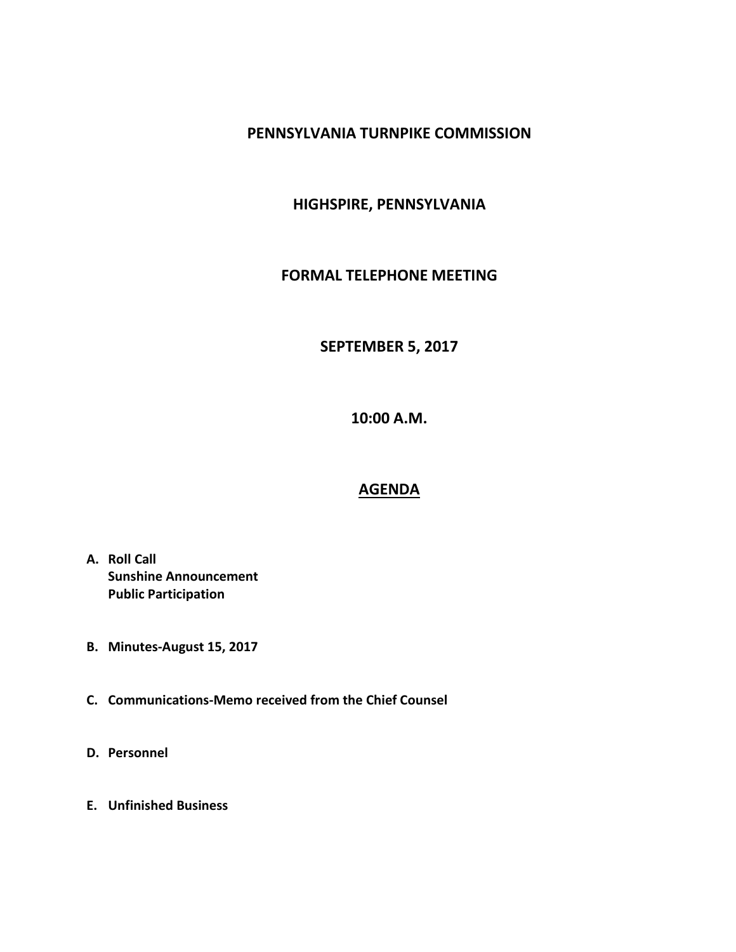## **PENNSYLVANIA TURNPIKE COMMISSION**

# **HIGHSPIRE, PENNSYLVANIA**

### **FORMAL TELEPHONE MEETING**

### **SEPTEMBER 5, 2017**

**10:00 A.M.**

#### **AGENDA**

- **A. Roll Call Sunshine Announcement Public Participation**
- **B. Minutes-August 15, 2017**
- **C. Communications-Memo received from the Chief Counsel**
- **D. Personnel**
- **E. Unfinished Business**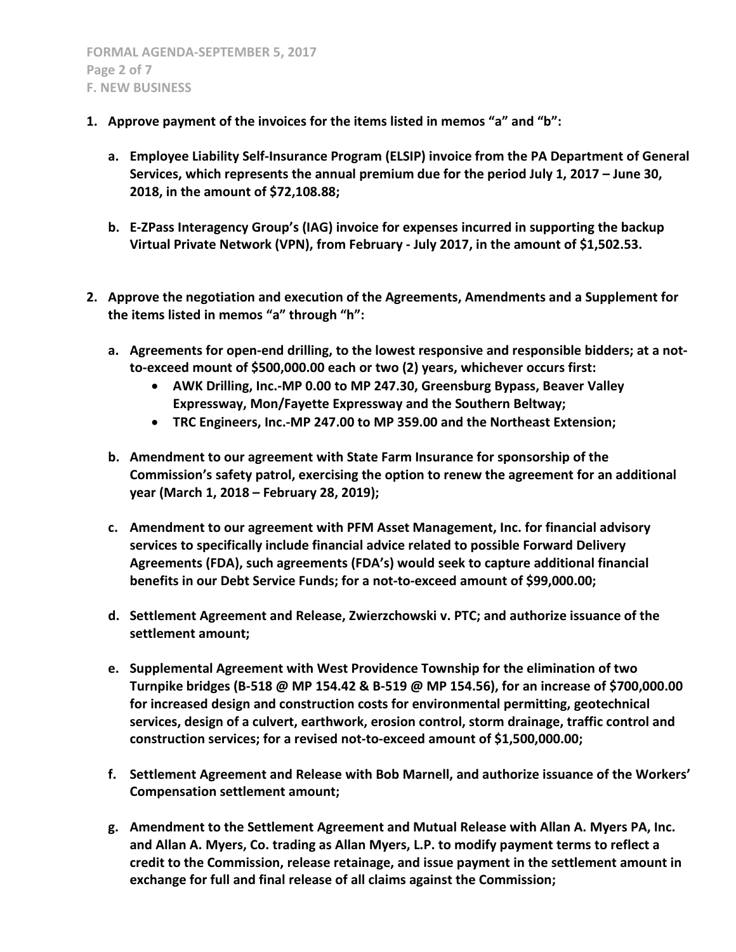- **1. Approve payment of the invoices for the items listed in memos "a" and "b":**
	- **a. Employee Liability Self-Insurance Program (ELSIP) invoice from the PA Department of General Services, which represents the annual premium due for the period July 1, 2017 – June 30, 2018, in the amount of \$72,108.88;**
	- **b. E-ZPass Interagency Group's (IAG) invoice for expenses incurred in supporting the backup Virtual Private Network (VPN), from February - July 2017, in the amount of \$1,502.53.**
- **2. Approve the negotiation and execution of the Agreements, Amendments and a Supplement for the items listed in memos "a" through "h":**
	- **a. Agreements for open-end drilling, to the lowest responsive and responsible bidders; at a notto-exceed mount of \$500,000.00 each or two (2) years, whichever occurs first:**
		- **AWK Drilling, Inc.-MP 0.00 to MP 247.30, Greensburg Bypass, Beaver Valley Expressway, Mon/Fayette Expressway and the Southern Beltway;**
		- **TRC Engineers, Inc.-MP 247.00 to MP 359.00 and the Northeast Extension;**
	- **b. Amendment to our agreement with State Farm Insurance for sponsorship of the Commission's safety patrol, exercising the option to renew the agreement for an additional year (March 1, 2018 – February 28, 2019);**
	- **c. Amendment to our agreement with PFM Asset Management, Inc. for financial advisory services to specifically include financial advice related to possible Forward Delivery Agreements (FDA), such agreements (FDA's) would seek to capture additional financial benefits in our Debt Service Funds; for a not-to-exceed amount of \$99,000.00;**
	- **d. Settlement Agreement and Release, Zwierzchowski v. PTC; and authorize issuance of the settlement amount;**
	- **e. Supplemental Agreement with West Providence Township for the elimination of two Turnpike bridges (B-518 @ MP 154.42 & B-519 @ MP 154.56), for an increase of \$700,000.00 for increased design and construction costs for environmental permitting, geotechnical services, design of a culvert, earthwork, erosion control, storm drainage, traffic control and construction services; for a revised not-to-exceed amount of \$1,500,000.00;**
	- **f. Settlement Agreement and Release with Bob Marnell, and authorize issuance of the Workers' Compensation settlement amount;**
	- **g. Amendment to the Settlement Agreement and Mutual Release with Allan A. Myers PA, Inc. and Allan A. Myers, Co. trading as Allan Myers, L.P. to modify payment terms to reflect a credit to the Commission, release retainage, and issue payment in the settlement amount in exchange for full and final release of all claims against the Commission;**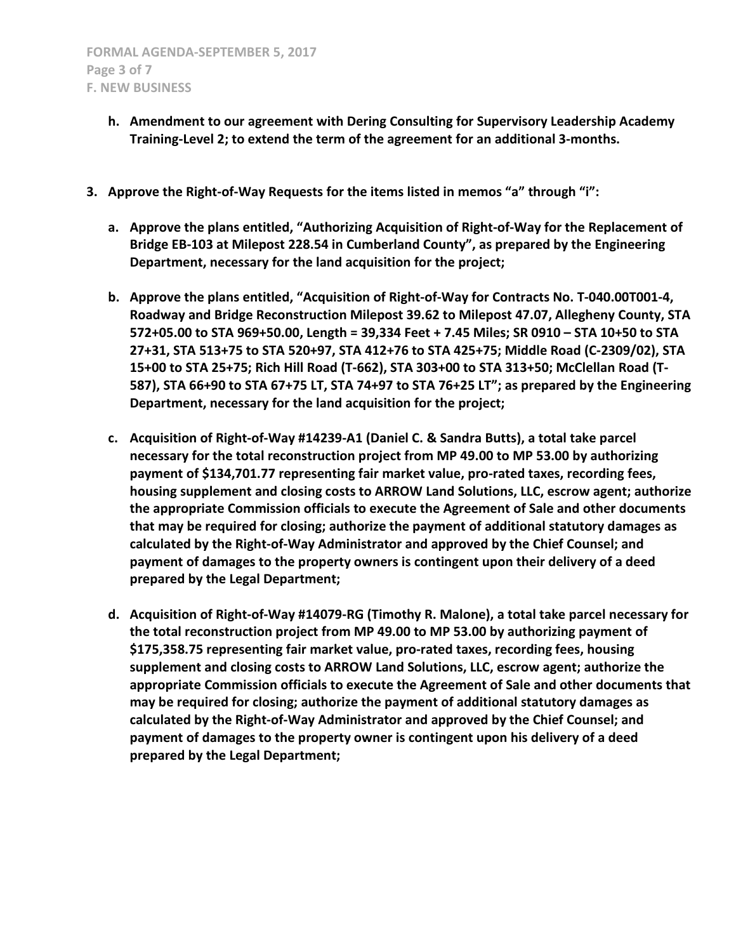- **h. Amendment to our agreement with Dering Consulting for Supervisory Leadership Academy Training-Level 2; to extend the term of the agreement for an additional 3-months.**
- **3. Approve the Right-of-Way Requests for the items listed in memos "a" through "i":**
	- **a. Approve the plans entitled, "Authorizing Acquisition of Right-of-Way for the Replacement of Bridge EB-103 at Milepost 228.54 in Cumberland County", as prepared by the Engineering Department, necessary for the land acquisition for the project;**
	- **b. Approve the plans entitled, "Acquisition of Right-of-Way for Contracts No. T-040.00T001-4, Roadway and Bridge Reconstruction Milepost 39.62 to Milepost 47.07, Allegheny County, STA 572+05.00 to STA 969+50.00, Length = 39,334 Feet + 7.45 Miles; SR 0910 – STA 10+50 to STA 27+31, STA 513+75 to STA 520+97, STA 412+76 to STA 425+75; Middle Road (C-2309/02), STA 15+00 to STA 25+75; Rich Hill Road (T-662), STA 303+00 to STA 313+50; McClellan Road (T-587), STA 66+90 to STA 67+75 LT, STA 74+97 to STA 76+25 LT"; as prepared by the Engineering Department, necessary for the land acquisition for the project;**
	- **c. Acquisition of Right-of-Way #14239-A1 (Daniel C. & Sandra Butts), a total take parcel necessary for the total reconstruction project from MP 49.00 to MP 53.00 by authorizing payment of \$134,701.77 representing fair market value, pro-rated taxes, recording fees, housing supplement and closing costs to ARROW Land Solutions, LLC, escrow agent; authorize the appropriate Commission officials to execute the Agreement of Sale and other documents that may be required for closing; authorize the payment of additional statutory damages as calculated by the Right-of-Way Administrator and approved by the Chief Counsel; and payment of damages to the property owners is contingent upon their delivery of a deed prepared by the Legal Department;**
	- **d. Acquisition of Right-of-Way #14079-RG (Timothy R. Malone), a total take parcel necessary for the total reconstruction project from MP 49.00 to MP 53.00 by authorizing payment of \$175,358.75 representing fair market value, pro-rated taxes, recording fees, housing supplement and closing costs to ARROW Land Solutions, LLC, escrow agent; authorize the appropriate Commission officials to execute the Agreement of Sale and other documents that may be required for closing; authorize the payment of additional statutory damages as calculated by the Right-of-Way Administrator and approved by the Chief Counsel; and payment of damages to the property owner is contingent upon his delivery of a deed prepared by the Legal Department;**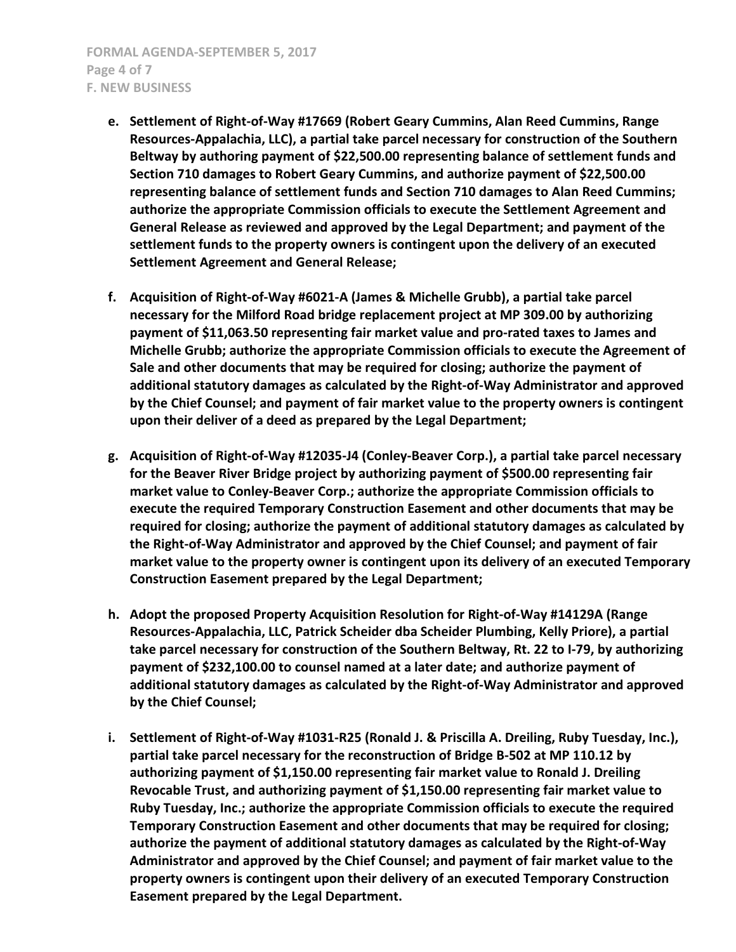- **e. Settlement of Right-of-Way #17669 (Robert Geary Cummins, Alan Reed Cummins, Range Resources-Appalachia, LLC), a partial take parcel necessary for construction of the Southern Beltway by authoring payment of \$22,500.00 representing balance of settlement funds and Section 710 damages to Robert Geary Cummins, and authorize payment of \$22,500.00 representing balance of settlement funds and Section 710 damages to Alan Reed Cummins; authorize the appropriate Commission officials to execute the Settlement Agreement and General Release as reviewed and approved by the Legal Department; and payment of the settlement funds to the property owners is contingent upon the delivery of an executed Settlement Agreement and General Release;**
- **f. Acquisition of Right-of-Way #6021-A (James & Michelle Grubb), a partial take parcel necessary for the Milford Road bridge replacement project at MP 309.00 by authorizing payment of \$11,063.50 representing fair market value and pro-rated taxes to James and Michelle Grubb; authorize the appropriate Commission officials to execute the Agreement of Sale and other documents that may be required for closing; authorize the payment of additional statutory damages as calculated by the Right-of-Way Administrator and approved by the Chief Counsel; and payment of fair market value to the property owners is contingent upon their deliver of a deed as prepared by the Legal Department;**
- **g. Acquisition of Right-of-Way #12035-J4 (Conley-Beaver Corp.), a partial take parcel necessary for the Beaver River Bridge project by authorizing payment of \$500.00 representing fair market value to Conley-Beaver Corp.; authorize the appropriate Commission officials to execute the required Temporary Construction Easement and other documents that may be required for closing; authorize the payment of additional statutory damages as calculated by the Right-of-Way Administrator and approved by the Chief Counsel; and payment of fair market value to the property owner is contingent upon its delivery of an executed Temporary Construction Easement prepared by the Legal Department;**
- **h. Adopt the proposed Property Acquisition Resolution for Right-of-Way #14129A (Range Resources-Appalachia, LLC, Patrick Scheider dba Scheider Plumbing, Kelly Priore), a partial take parcel necessary for construction of the Southern Beltway, Rt. 22 to I-79, by authorizing payment of \$232,100.00 to counsel named at a later date; and authorize payment of additional statutory damages as calculated by the Right-of-Way Administrator and approved by the Chief Counsel;**
- **i. Settlement of Right-of-Way #1031-R25 (Ronald J. & Priscilla A. Dreiling, Ruby Tuesday, Inc.), partial take parcel necessary for the reconstruction of Bridge B-502 at MP 110.12 by authorizing payment of \$1,150.00 representing fair market value to Ronald J. Dreiling Revocable Trust, and authorizing payment of \$1,150.00 representing fair market value to Ruby Tuesday, Inc.; authorize the appropriate Commission officials to execute the required Temporary Construction Easement and other documents that may be required for closing; authorize the payment of additional statutory damages as calculated by the Right-of-Way Administrator and approved by the Chief Counsel; and payment of fair market value to the property owners is contingent upon their delivery of an executed Temporary Construction Easement prepared by the Legal Department.**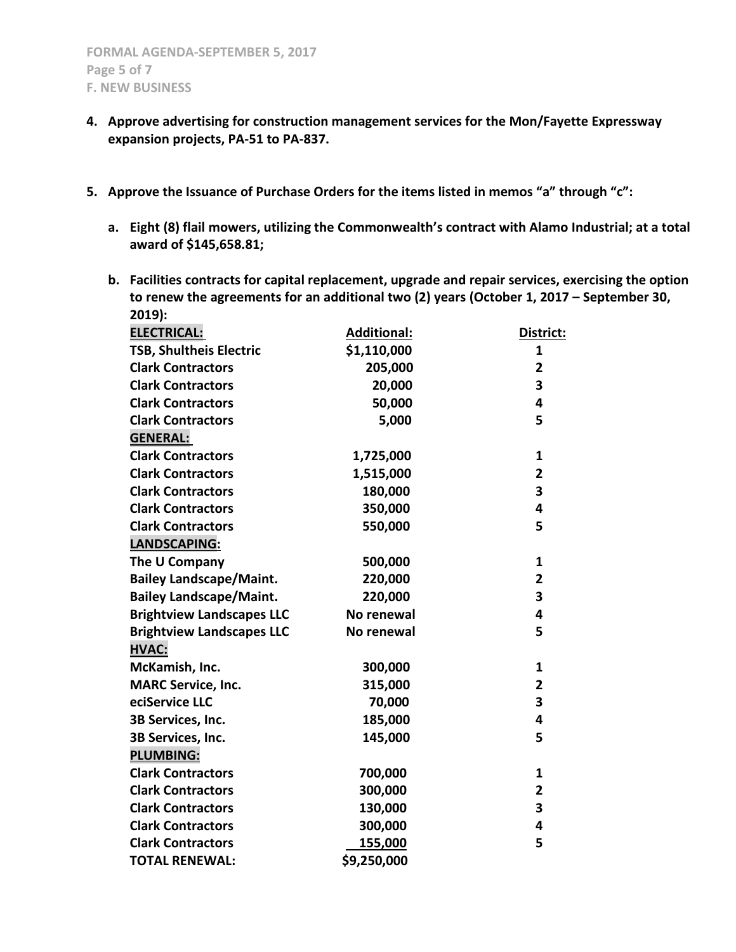- **4. Approve advertising for construction management services for the Mon/Fayette Expressway expansion projects, PA-51 to PA-837.**
- **5. Approve the Issuance of Purchase Orders for the items listed in memos "a" through "c":**
	- **a. Eight (8) flail mowers, utilizing the Commonwealth's contract with Alamo Industrial; at a total award of \$145,658.81;**
	- **b. Facilities contracts for capital replacement, upgrade and repair services, exercising the option to renew the agreements for an additional two (2) years (October 1, 2017 – September 30, 2019):**

| <b>ELECTRICAL:</b>               | <b>Additional:</b> | District:               |
|----------------------------------|--------------------|-------------------------|
| TSB, Shultheis Electric          | \$1,110,000        | 1                       |
| <b>Clark Contractors</b>         | 205,000            | $\overline{\mathbf{2}}$ |
| <b>Clark Contractors</b>         | 20,000             | 3                       |
| <b>Clark Contractors</b>         | 50,000             | 4                       |
| <b>Clark Contractors</b>         | 5,000              | 5                       |
| <b>GENERAL:</b>                  |                    |                         |
| <b>Clark Contractors</b>         | 1,725,000          | 1                       |
| <b>Clark Contractors</b>         | 1,515,000          | 2                       |
| <b>Clark Contractors</b>         | 180,000            | 3                       |
| <b>Clark Contractors</b>         | 350,000            | 4                       |
| <b>Clark Contractors</b>         | 550,000            | 5                       |
| LANDSCAPING:                     |                    |                         |
| The U Company                    | 500,000            | 1                       |
| <b>Bailey Landscape/Maint.</b>   | 220,000            | $\overline{2}$          |
| <b>Bailey Landscape/Maint.</b>   | 220,000            | 3                       |
| <b>Brightview Landscapes LLC</b> | No renewal         | 4                       |
| <b>Brightview Landscapes LLC</b> | No renewal         | 5                       |
| <b>HVAC:</b>                     |                    |                         |
| McKamish, Inc.                   | 300,000            | 1                       |
| <b>MARC Service, Inc.</b>        | 315,000            | $\overline{\mathbf{2}}$ |
| eciService LLC                   | 70,000             | 3                       |
| 3B Services, Inc.                | 185,000            | 4                       |
| 3B Services, Inc.                | 145,000            | 5                       |
| <b>PLUMBING:</b>                 |                    |                         |
| <b>Clark Contractors</b>         | 700,000            | 1                       |
| <b>Clark Contractors</b>         | 300,000            | $\overline{2}$          |
| <b>Clark Contractors</b>         | 130,000            | 3                       |
| <b>Clark Contractors</b>         | 300,000            | 4                       |
| <b>Clark Contractors</b>         | 155,000            | 5                       |
| <b>TOTAL RENEWAL:</b>            | \$9,250,000        |                         |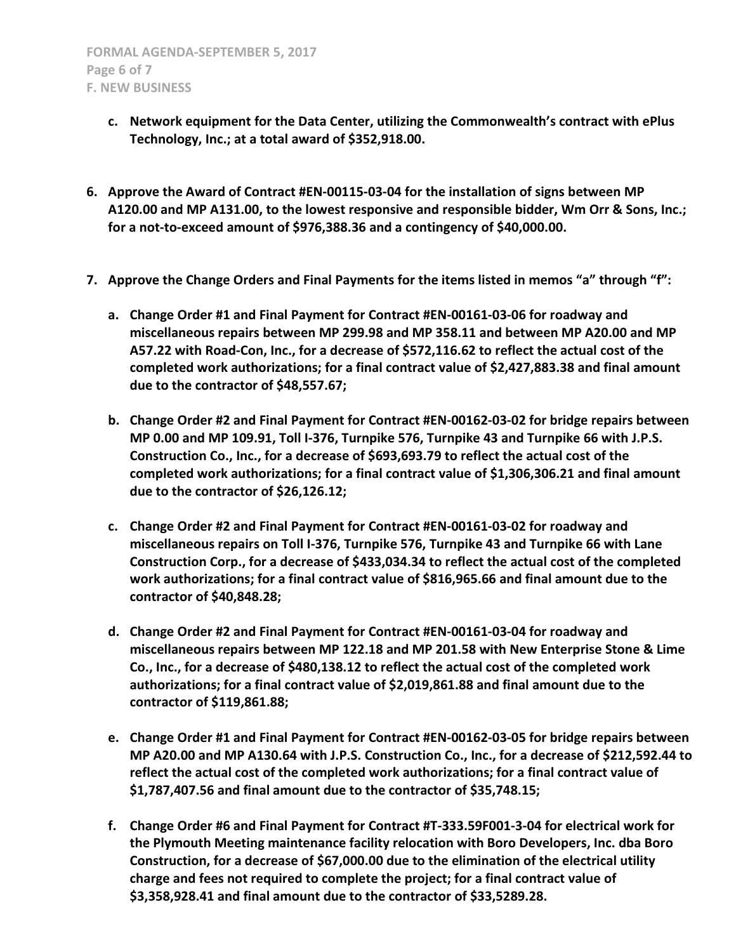- **c. Network equipment for the Data Center, utilizing the Commonwealth's contract with ePlus Technology, Inc.; at a total award of \$352,918.00.**
- **6. Approve the Award of Contract #EN-00115-03-04 for the installation of signs between MP A120.00 and MP A131.00, to the lowest responsive and responsible bidder, Wm Orr & Sons, Inc.; for a not-to-exceed amount of \$976,388.36 and a contingency of \$40,000.00.**
- **7. Approve the Change Orders and Final Payments for the items listed in memos "a" through "f":**
	- **a. Change Order #1 and Final Payment for Contract #EN-00161-03-06 for roadway and miscellaneous repairs between MP 299.98 and MP 358.11 and between MP A20.00 and MP A57.22 with Road-Con, Inc., for a decrease of \$572,116.62 to reflect the actual cost of the completed work authorizations; for a final contract value of \$2,427,883.38 and final amount due to the contractor of \$48,557.67;**
	- **b. Change Order #2 and Final Payment for Contract #EN-00162-03-02 for bridge repairs between MP 0.00 and MP 109.91, Toll I-376, Turnpike 576, Turnpike 43 and Turnpike 66 with J.P.S. Construction Co., Inc., for a decrease of \$693,693.79 to reflect the actual cost of the completed work authorizations; for a final contract value of \$1,306,306.21 and final amount due to the contractor of \$26,126.12;**
	- **c. Change Order #2 and Final Payment for Contract #EN-00161-03-02 for roadway and miscellaneous repairs on Toll I-376, Turnpike 576, Turnpike 43 and Turnpike 66 with Lane Construction Corp., for a decrease of \$433,034.34 to reflect the actual cost of the completed work authorizations; for a final contract value of \$816,965.66 and final amount due to the contractor of \$40,848.28;**
	- **d. Change Order #2 and Final Payment for Contract #EN-00161-03-04 for roadway and miscellaneous repairs between MP 122.18 and MP 201.58 with New Enterprise Stone & Lime Co., Inc., for a decrease of \$480,138.12 to reflect the actual cost of the completed work authorizations; for a final contract value of \$2,019,861.88 and final amount due to the contractor of \$119,861.88;**
	- **e. Change Order #1 and Final Payment for Contract #EN-00162-03-05 for bridge repairs between MP A20.00 and MP A130.64 with J.P.S. Construction Co., Inc., for a decrease of \$212,592.44 to reflect the actual cost of the completed work authorizations; for a final contract value of \$1,787,407.56 and final amount due to the contractor of \$35,748.15;**
	- **f. Change Order #6 and Final Payment for Contract #T-333.59F001-3-04 for electrical work for the Plymouth Meeting maintenance facility relocation with Boro Developers, Inc. dba Boro Construction, for a decrease of \$67,000.00 due to the elimination of the electrical utility charge and fees not required to complete the project; for a final contract value of \$3,358,928.41 and final amount due to the contractor of \$33,5289.28.**